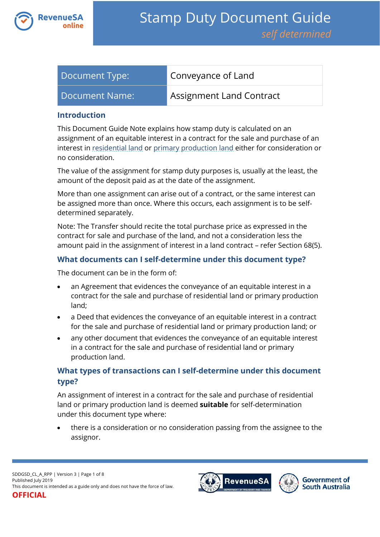

| Document Type: | Conveyance of Land       |
|----------------|--------------------------|
| Document Name: | Assignment Land Contract |

#### **Introduction**

This Document Guide Note explains how stamp duty is calculated on an assignment of an equitable interest in a contract for the sale and purchase of an interest in [residential land](https://www.revenuesa.sa.gov.au/stampduty/stamp-duty-document-guide#RR&PP) or [primary production land](https://www.revenuesa.sa.gov.au/stampduty/stamp-duty-document-guide#RR&PP) either for consideration or no consideration.

The value of the assignment for stamp duty purposes is, usually at the least, the amount of the deposit paid as at the date of the assignment.

More than one assignment can arise out of a contract, or the same interest can be assigned more than once. Where this occurs, each assignment is to be selfdetermined separately.

Note: The Transfer should recite the total purchase price as expressed in the contract for sale and purchase of the land, and not a consideration less the amount paid in the assignment of interest in a land contract – refer Section 68(5).

# **What documents can I self-determine under this document type?**

The document can be in the form of:

- an Agreement that evidences the conveyance of an equitable interest in a contract for the sale and purchase of residential land or primary production land;
- a Deed that evidences the conveyance of an equitable interest in a contract for the sale and purchase of residential land or primary production land; or
- any other document that evidences the conveyance of an equitable interest in a contract for the sale and purchase of residential land or primary production land.

# **What types of transactions can I self-determine under this document type?**

An assignment of interest in a contract for the sale and purchase of residential land or primary production land is deemed **suitable** for self-determination under this document type where:

 there is a consideration or no consideration passing from the assignee to the assignor.



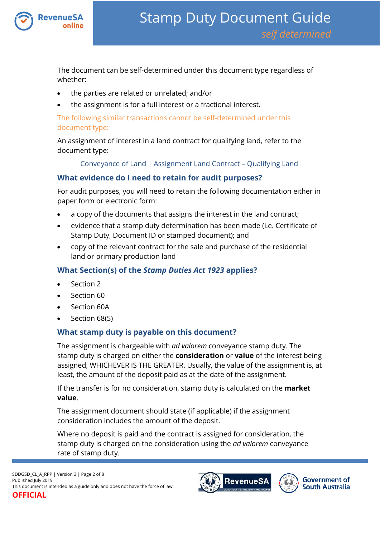

The document can be self-determined under this document type regardless of whether:

- the parties are related or unrelated; and/or
- the assignment is for a full interest or a fractional interest.

The following similar transactions cannot be self-determined under this document type:

An assignment of interest in a land contract for qualifying land, refer to the document type:

[Conveyance of Land | Assignment Land Contract](https://www.revenuesa.sa.gov.au/stampduty/stamp-duty-document-guide/self-determined/conveyance-of-land/sddgsd_cl_a_ql) – Qualifying Land

# **What evidence do I need to retain for audit purposes?**

For audit purposes, you will need to retain the following documentation either in paper form or electronic form:

- a copy of the documents that assigns the interest in the land contract;
- evidence that a stamp duty determination has been made (i.e. Certificate of Stamp Duty, Document ID or stamped document); and
- copy of the relevant contract for the sale and purchase of the residential land or primary production land

# **What Section(s) of the** *Stamp Duties Act 1923* **applies?**

- Section 2
- Section 60
- Section 60A
- Section 68(5)

### **What stamp duty is payable on this document?**

The assignment is chargeable with *ad valorem* conveyance stamp duty. The stamp duty is charged on either the **consideration** or **value** of the interest being assigned, WHICHEVER IS THE GREATER. Usually, the value of the assignment is, at least, the amount of the deposit paid as at the date of the assignment.

If the transfer is for no consideration, stamp duty is calculated on the **market value**.

The assignment document should state (if applicable) if the assignment consideration includes the amount of the deposit.

Where no deposit is paid and the contract is assigned for consideration, the stamp duty is charged on the consideration using the *ad valorem* conveyance rate of stamp duty.

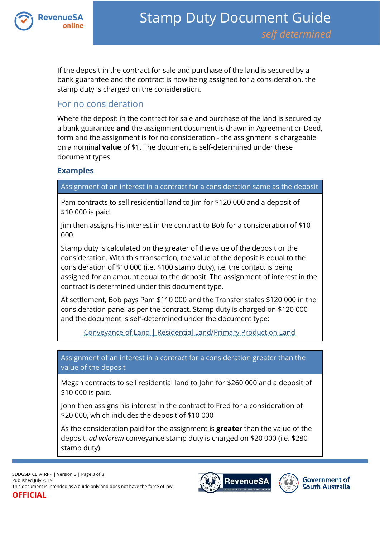

If the deposit in the contract for sale and purchase of the land is secured by a bank guarantee and the contract is now being assigned for a consideration, the stamp duty is charged on the consideration.

# For no consideration

Where the deposit in the contract for sale and purchase of the land is secured by a bank guarantee **and** the assignment document is drawn in Agreement or Deed, form and the assignment is for no consideration - the assignment is chargeable on a nominal **value** of \$1. The document is self-determined under these document types.

### **Examples**

Assignment of an interest in a contract for a consideration same as the deposit

Pam contracts to sell residential land to Jim for \$120 000 and a deposit of \$10 000 is paid.

Jim then assigns his interest in the contract to Bob for a consideration of \$10 000.

Stamp duty is calculated on the greater of the value of the deposit or the consideration. With this transaction, the value of the deposit is equal to the consideration of \$10 000 (i.e. \$100 stamp duty), i.e. the contact is being assigned for an amount equal to the deposit. The assignment of interest in the contract is determined under this document type.

At settlement, Bob pays Pam \$110 000 and the Transfer states \$120 000 in the consideration panel as per the contract. Stamp duty is charged on \$120 000 and the document is self-determined under the document type:

[Conveyance of Land | Residential Land/Primary Production Land](https://www.revenuesa.sa.gov.au/stampduty/stamp-duty-document-guide/self-determined/conveyance-of-land/sddgsd_cl_rpp)

Assignment of an interest in a contract for a consideration greater than the value of the deposit

Megan contracts to sell residential land to John for \$260 000 and a deposit of \$10 000 is paid.

John then assigns his interest in the contract to Fred for a consideration of \$20 000, which includes the deposit of \$10 000

As the consideration paid for the assignment is **greater** than the value of the deposit, *ad valorem* conveyance stamp duty is charged on \$20 000 (i.e. \$280 stamp duty).

SDDGSD\_CL\_A\_RPP | Version 3 | Page 3 of 8 Published July 2019 This document is intended as a guide only and does not have the force of law. **OFFICIAL**





**Government of South Australia**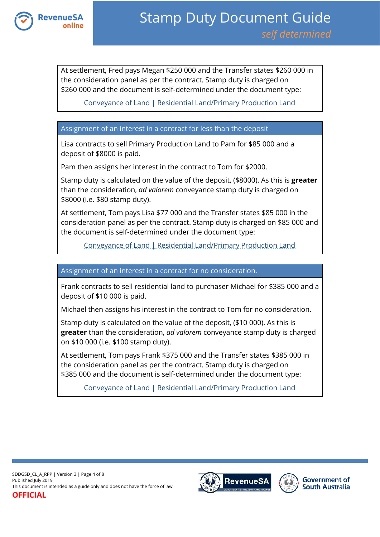

At settlement, Fred pays Megan \$250 000 and the Transfer states \$260 000 in the consideration panel as per the contract. Stamp duty is charged on \$260 000 and the document is self-determined under the document type:

[Conveyance of Land | Residential Land/Primary Production Land](https://www.revenuesa.sa.gov.au/stampduty/stamp-duty-document-guide/self-determined/conveyance-of-land/sddgsd_cl_rpp)

#### Assignment of an interest in a contract for less than the deposit

Lisa contracts to sell Primary Production Land to Pam for \$85 000 and a deposit of \$8000 is paid.

Pam then assigns her interest in the contract to Tom for \$2000.

Stamp duty is calculated on the value of the deposit, (\$8000). As this is **greater** than the consideration, *ad valorem* conveyance stamp duty is charged on \$8000 (i.e. \$80 stamp duty).

At settlement, Tom pays Lisa \$77 000 and the Transfer states \$85 000 in the consideration panel as per the contract. Stamp duty is charged on \$85 000 and the document is self-determined under the document type:

[Conveyance of Land | Residential Land/Primary Production Land](https://www.revenuesa.sa.gov.au/stampduty/stamp-duty-document-guide/self-determined/conveyance-of-land/sddgsd_cl_rpp)

Assignment of an interest in a contract for no consideration.

Frank contracts to sell residential land to purchaser Michael for \$385 000 and a deposit of \$10 000 is paid.

Michael then assigns his interest in the contract to Tom for no consideration.

Stamp duty is calculated on the value of the deposit, (\$10 000). As this is **greater** than the consideration, *ad valorem* conveyance stamp duty is charged on \$10 000 (i.e. \$100 stamp duty).

At settlement, Tom pays Frank \$375 000 and the Transfer states \$385 000 in the consideration panel as per the contract. Stamp duty is charged on \$385 000 and the document is self-determined under the document type:

[Conveyance of Land | Residential Land/Primary](https://www.revenuesa.sa.gov.au/stampduty/stamp-duty-document-guide/self-determined/conveyance-of-land/sddgsd_cl_rpp) Production Land

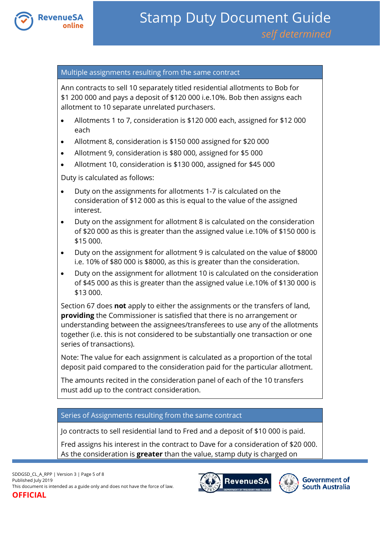

#### Multiple assignments resulting from the same contract

Ann contracts to sell 10 separately titled residential allotments to Bob for \$1 200 000 and pays a deposit of \$120 000 i.e.10%. Bob then assigns each allotment to 10 separate unrelated purchasers.

- Allotments 1 to 7, consideration is \$120 000 each, assigned for \$12 000 each
- Allotment 8, consideration is \$150 000 assigned for \$20 000
- Allotment 9, consideration is \$80 000, assigned for \$5 000
- Allotment 10, consideration is \$130 000, assigned for \$45 000

Duty is calculated as follows:

- Duty on the assignments for allotments 1-7 is calculated on the consideration of \$12 000 as this is equal to the value of the assigned interest.
- Duty on the assignment for allotment 8 is calculated on the consideration of \$20 000 as this is greater than the assigned value i.e.10% of \$150 000 is \$15 000.
- Duty on the assignment for allotment 9 is calculated on the value of \$8000 i.e. 10% of \$80 000 is \$8000, as this is greater than the consideration.
- Duty on the assignment for allotment 10 is calculated on the consideration of \$45 000 as this is greater than the assigned value i.e.10% of \$130 000 is \$13 000.

Section 67 does **not** apply to either the assignments or the transfers of land, **providing** the Commissioner is satisfied that there is no arrangement or understanding between the assignees/transferees to use any of the allotments together (i.e. this is not considered to be substantially one transaction or one series of transactions).

Note: The value for each assignment is calculated as a proportion of the total deposit paid compared to the consideration paid for the particular allotment.

The amounts recited in the consideration panel of each of the 10 transfers must add up to the contract consideration.

#### Series of Assignments resulting from the same contract

Jo contracts to sell residential land to Fred and a deposit of \$10 000 is paid.

Fred assigns his interest in the contract to Dave for a consideration of \$20 000. As the consideration is **greater** than the value, stamp duty is charged on



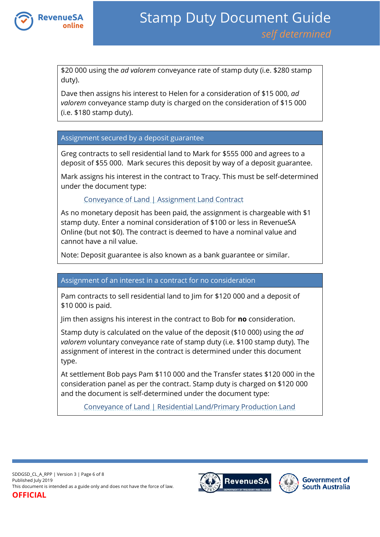

\$20 000 using the *ad valorem* conveyance rate of stamp duty (i.e. \$280 stamp duty).

Dave then assigns his interest to Helen for a consideration of \$15 000, *ad valorem* conveyance stamp duty is charged on the consideration of \$15 000 (i.e. \$180 stamp duty).

#### Assignment secured by a deposit guarantee

Greg contracts to sell residential land to Mark for \$555 000 and agrees to a deposit of \$55 000. Mark secures this deposit by way of a deposit guarantee.

Mark assigns his interest in the contract to Tracy. This must be self-determined under the document type:

### [Conveyance of Land | Assignment Land Contract](https://www.revenuesa.sa.gov.au/stampduty/stamp-duty-document-guide/self-determined/conveyance-of-land/sddgsd_cl_a_rpp)

As no monetary deposit has been paid, the assignment is chargeable with \$1 stamp duty. Enter a nominal consideration of \$100 or less in RevenueSA Online (but not \$0). The contract is deemed to have a nominal value and cannot have a nil value.

Note: Deposit guarantee is also known as a bank guarantee or similar.

#### Assignment of an interest in a contract for no consideration

Pam contracts to sell residential land to Jim for \$120 000 and a deposit of \$10 000 is paid.

Jim then assigns his interest in the contract to Bob for **no** consideration.

Stamp duty is calculated on the value of the deposit (\$10 000) using the *ad valorem* voluntary conveyance rate of stamp duty (i.e. \$100 stamp duty). The assignment of interest in the contract is determined under this document type.

At settlement Bob pays Pam \$110 000 and the Transfer states \$120 000 in the consideration panel as per the contract. Stamp duty is charged on \$120 000 and the document is self-determined under the document type:

[Conveyance of Land | Residential Land/Primary Production Land](https://www.revenuesa.sa.gov.au/stampduty/stamp-duty-document-guide/self-determined/conveyance-of-land/sddgsd_cl_rpp)



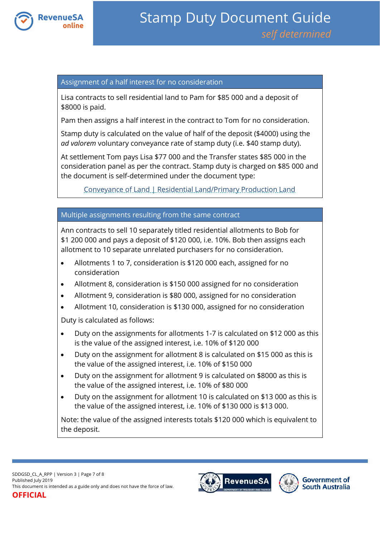

#### Assignment of a half interest for no consideration

Lisa contracts to sell residential land to Pam for \$85 000 and a deposit of \$8000 is paid.

Pam then assigns a half interest in the contract to Tom for no consideration.

Stamp duty is calculated on the value of half of the deposit (\$4000) using the *ad valorem* voluntary conveyance rate of stamp duty (i.e. \$40 stamp duty).

At settlement Tom pays Lisa \$77 000 and the Transfer states \$85 000 in the consideration panel as per the contract. Stamp duty is charged on \$85 000 and the document is self-determined under the document type:

[Conveyance of Land | Residential Land/Primary Production Land](https://www.revenuesa.sa.gov.au/stampduty/stamp-duty-document-guide/self-determined/conveyance-of-land/sddgsd_cl_rpp)

#### Multiple assignments resulting from the same contract

Ann contracts to sell 10 separately titled residential allotments to Bob for \$1 200 000 and pays a deposit of \$120 000, i.e. 10%. Bob then assigns each allotment to 10 separate unrelated purchasers for no consideration.

- Allotments 1 to 7, consideration is \$120 000 each, assigned for no consideration
- Allotment 8, consideration is \$150 000 assigned for no consideration
- Allotment 9, consideration is \$80 000, assigned for no consideration
- Allotment 10, consideration is \$130 000, assigned for no consideration

Duty is calculated as follows:

- Duty on the assignments for allotments 1-7 is calculated on \$12 000 as this is the value of the assigned interest, i.e. 10% of \$120 000
- Duty on the assignment for allotment 8 is calculated on \$15 000 as this is the value of the assigned interest, i.e. 10% of \$150 000
- Duty on the assignment for allotment 9 is calculated on \$8000 as this is the value of the assigned interest, i.e. 10% of \$80 000
- Duty on the assignment for allotment 10 is calculated on \$13 000 as this is the value of the assigned interest, i.e. 10% of \$130 000 is \$13 000.

Note: the value of the assigned interests totals \$120 000 which is equivalent to the deposit.